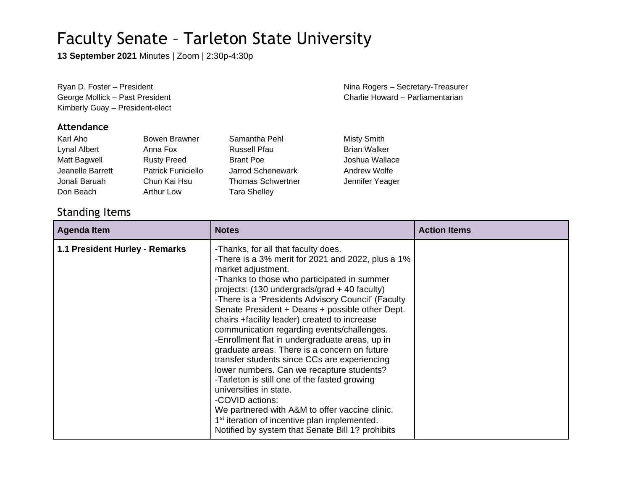**13 September 2021** Minutes | Zoom | 2:30p-4:30p

Kimberly Guay – President-elect

#### **Attendance**

| Karl Aho         | Bowen Brawner             | Samantha Pehl            | <b>Misty Smith</b>  |
|------------------|---------------------------|--------------------------|---------------------|
| Lynal Albert     | Anna Fox                  | <b>Russell Pfau</b>      | <b>Brian Walker</b> |
| Matt Bagwell     | <b>Rusty Freed</b>        | <b>Brant Poe</b>         | Joshua Wallace      |
| Jeanelle Barrett | <b>Patrick Funiciello</b> | Jarrod Schenewark        | Andrew Wolfe        |
| Jonali Baruah    | Chun Kai Hsu              | <b>Thomas Schwertner</b> | Jennifer Yeager     |
| Don Beach        | <b>Arthur Low</b>         | <b>Tara Shelley</b>      |                     |

### Standing Items

| <b>Agenda Item</b>             | <b>Notes</b>                                                                                                                                                                                                                                                                                                                                                                                                                                                                                                                                                                                                                                                                                                                                                                                                                                                                       | <b>Action Items</b> |
|--------------------------------|------------------------------------------------------------------------------------------------------------------------------------------------------------------------------------------------------------------------------------------------------------------------------------------------------------------------------------------------------------------------------------------------------------------------------------------------------------------------------------------------------------------------------------------------------------------------------------------------------------------------------------------------------------------------------------------------------------------------------------------------------------------------------------------------------------------------------------------------------------------------------------|---------------------|
| 1.1 President Hurley - Remarks | -Thanks, for all that faculty does.<br>-There is a 3% merit for 2021 and 2022, plus a 1%<br>market adjustment.<br>-Thanks to those who participated in summer<br>projects: (130 undergrads/grad + 40 faculty)<br>-There is a 'Presidents Advisory Council' (Faculty<br>Senate President + Deans + possible other Dept.<br>chairs +facility leader) created to increase<br>communication regarding events/challenges.<br>-Enrollment flat in undergraduate areas, up in<br>graduate areas. There is a concern on future<br>transfer students since CCs are experiencing<br>lower numbers. Can we recapture students?<br>-Tarleton is still one of the fasted growing<br>universities in state.<br>-COVID actions:<br>We partnered with A&M to offer vaccine clinic.<br>1 <sup>st</sup> iteration of incentive plan implemented.<br>Notified by system that Senate Bill 1? prohibits |                     |

Ryan D. Foster – President Nina Rogers – Secretary-Treasurer George Mollick – Past President Charlie Howard – Parliamentarian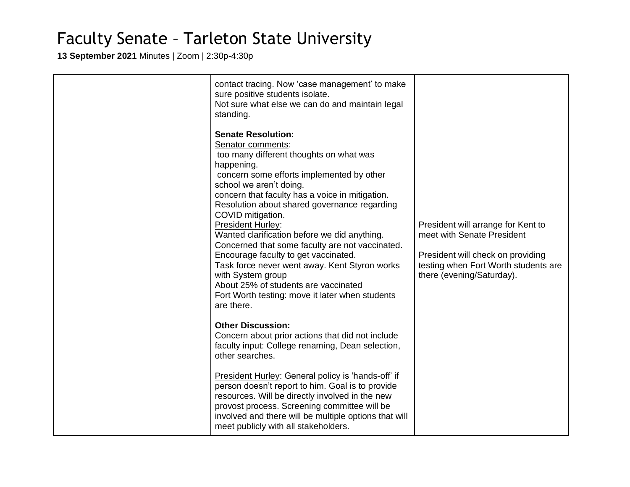**13 September 2021** Minutes | Zoom | 2:30p-4:30p

| contact tracing. Now 'case management' to make<br>sure positive students isolate.<br>Not sure what else we can do and maintain legal<br>standing.<br><b>Senate Resolution:</b><br>Senator comments:<br>too many different thoughts on what was<br>happening.<br>concern some efforts implemented by other<br>school we aren't doing.<br>concern that faculty has a voice in mitigation.<br>Resolution about shared governance regarding<br>COVID mitigation.<br><b>President Hurley:</b><br>Wanted clarification before we did anything.<br>Concerned that some faculty are not vaccinated.<br>Encourage faculty to get vaccinated.<br>Task force never went away. Kent Styron works<br>with System group<br>About 25% of students are vaccinated<br>Fort Worth testing: move it later when students<br>are there.<br><b>Other Discussion:</b><br>Concern about prior actions that did not include<br>faculty input: College renaming, Dean selection,<br>other searches.<br>President Hurley: General policy is 'hands-off' if<br>person doesn't report to him. Goal is to provide<br>resources. Will be directly involved in the new<br>provost process. Screening committee will be | President will arrange for Kent to<br>meet with Senate President<br>President will check on providing<br>testing when Fort Worth students are<br>there (evening/Saturday). |
|----------------------------------------------------------------------------------------------------------------------------------------------------------------------------------------------------------------------------------------------------------------------------------------------------------------------------------------------------------------------------------------------------------------------------------------------------------------------------------------------------------------------------------------------------------------------------------------------------------------------------------------------------------------------------------------------------------------------------------------------------------------------------------------------------------------------------------------------------------------------------------------------------------------------------------------------------------------------------------------------------------------------------------------------------------------------------------------------------------------------------------------------------------------------------------------|----------------------------------------------------------------------------------------------------------------------------------------------------------------------------|
| involved and there will be multiple options that will<br>meet publicly with all stakeholders.                                                                                                                                                                                                                                                                                                                                                                                                                                                                                                                                                                                                                                                                                                                                                                                                                                                                                                                                                                                                                                                                                          |                                                                                                                                                                            |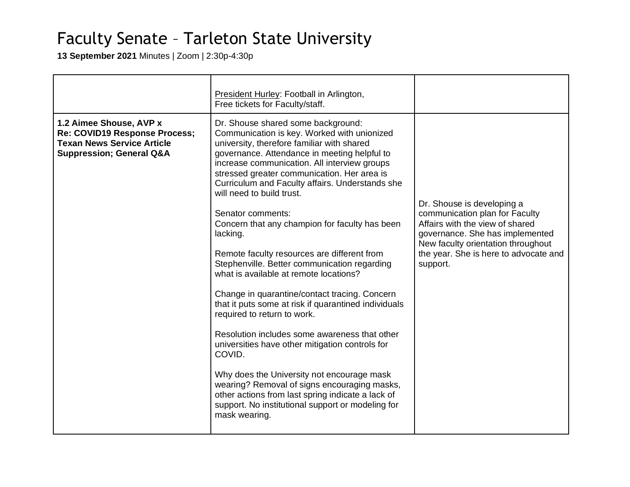**13 September 2021** Minutes | Zoom | 2:30p-4:30p

|                                                                                                                                      | President Hurley: Football in Arlington,<br>Free tickets for Faculty/staff.                                                                                                                                                                                                                                                                                                                                                                                                                                                                                                                                                                                                                                                                                                                                                                                                                                                                                                                                                                                               |                                                                                                                                                                                                                               |
|--------------------------------------------------------------------------------------------------------------------------------------|---------------------------------------------------------------------------------------------------------------------------------------------------------------------------------------------------------------------------------------------------------------------------------------------------------------------------------------------------------------------------------------------------------------------------------------------------------------------------------------------------------------------------------------------------------------------------------------------------------------------------------------------------------------------------------------------------------------------------------------------------------------------------------------------------------------------------------------------------------------------------------------------------------------------------------------------------------------------------------------------------------------------------------------------------------------------------|-------------------------------------------------------------------------------------------------------------------------------------------------------------------------------------------------------------------------------|
| 1.2 Aimee Shouse, AVP x<br>Re: COVID19 Response Process;<br><b>Texan News Service Article</b><br><b>Suppression; General Q&amp;A</b> | Dr. Shouse shared some background:<br>Communication is key. Worked with unionized<br>university, therefore familiar with shared<br>governance. Attendance in meeting helpful to<br>increase communication. All interview groups<br>stressed greater communication. Her area is<br>Curriculum and Faculty affairs. Understands she<br>will need to build trust.<br>Senator comments:<br>Concern that any champion for faculty has been<br>lacking.<br>Remote faculty resources are different from<br>Stephenville. Better communication regarding<br>what is available at remote locations?<br>Change in quarantine/contact tracing. Concern<br>that it puts some at risk if quarantined individuals<br>required to return to work.<br>Resolution includes some awareness that other<br>universities have other mitigation controls for<br>COVID.<br>Why does the University not encourage mask<br>wearing? Removal of signs encouraging masks,<br>other actions from last spring indicate a lack of<br>support. No institutional support or modeling for<br>mask wearing. | Dr. Shouse is developing a<br>communication plan for Faculty<br>Affairs with the view of shared<br>governance. She has implemented<br>New faculty orientation throughout<br>the year. She is here to advocate and<br>support. |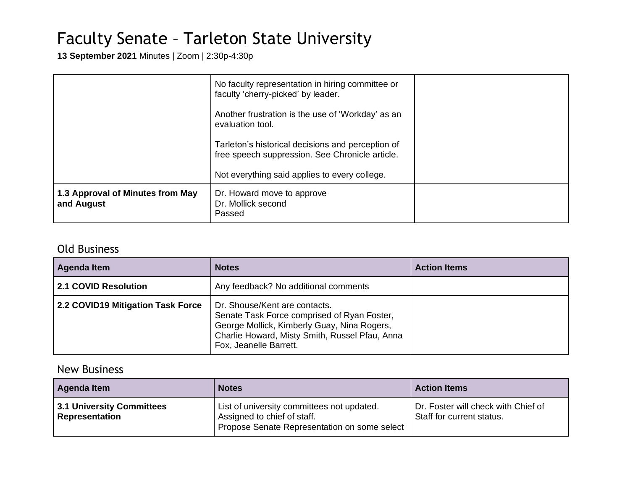**13 September 2021** Minutes | Zoom | 2:30p-4:30p

|                                                | No faculty representation in hiring committee or<br>faculty 'cherry-picked' by leader.<br>Another frustration is the use of 'Workday' as an<br>evaluation tool.<br>Tarleton's historical decisions and perception of<br>free speech suppression. See Chronicle article.<br>Not everything said applies to every college. |  |
|------------------------------------------------|--------------------------------------------------------------------------------------------------------------------------------------------------------------------------------------------------------------------------------------------------------------------------------------------------------------------------|--|
|                                                |                                                                                                                                                                                                                                                                                                                          |  |
| 1.3 Approval of Minutes from May<br>and August | Dr. Howard move to approve<br>Dr. Mollick second<br>Passed                                                                                                                                                                                                                                                               |  |

#### Old Business

| Agenda Item                       | <b>Notes</b>                                                                                                                                                                                            | <b>Action Items</b> |
|-----------------------------------|---------------------------------------------------------------------------------------------------------------------------------------------------------------------------------------------------------|---------------------|
| 2.1 COVID Resolution              | Any feedback? No additional comments                                                                                                                                                                    |                     |
| 2.2 COVID19 Mitigation Task Force | Dr. Shouse/Kent are contacts.<br>Senate Task Force comprised of Ryan Foster,<br>George Mollick, Kimberly Guay, Nina Rogers,<br>Charlie Howard, Misty Smith, Russel Pfau, Anna<br>Fox, Jeanelle Barrett. |                     |

### New Business

| Agenda Item                                        | <b>Notes</b>                                                                                                              | <b>Action Items</b>                                              |
|----------------------------------------------------|---------------------------------------------------------------------------------------------------------------------------|------------------------------------------------------------------|
| 3.1 University Committees<br><b>Representation</b> | List of university committees not updated.<br>Assigned to chief of staff.<br>Propose Senate Representation on some select | Dr. Foster will check with Chief of<br>Staff for current status. |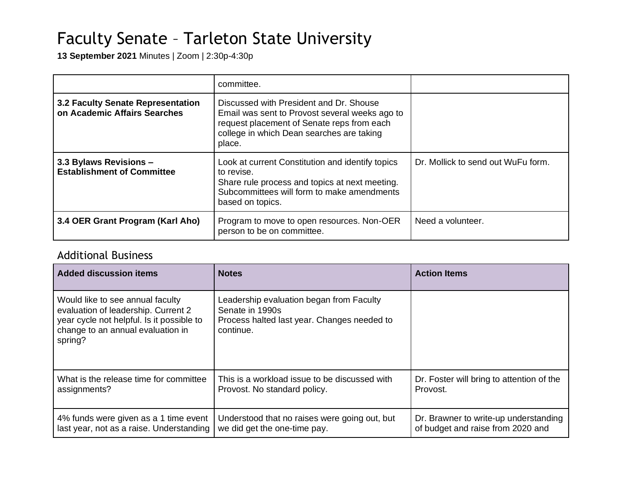**13 September 2021** Minutes | Zoom | 2:30p-4:30p

|                                                                   | committee.                                                                                                                                                                                     |                                    |
|-------------------------------------------------------------------|------------------------------------------------------------------------------------------------------------------------------------------------------------------------------------------------|------------------------------------|
| 3.2 Faculty Senate Representation<br>on Academic Affairs Searches | Discussed with President and Dr. Shouse<br>Email was sent to Provost several weeks ago to<br>request placement of Senate reps from each<br>college in which Dean searches are taking<br>place. |                                    |
| 3.3 Bylaws Revisions -<br><b>Establishment of Committee</b>       | Look at current Constitution and identify topics<br>to revise.<br>Share rule process and topics at next meeting.<br>Subcommittees will form to make amendments<br>based on topics.             | Dr. Mollick to send out WuFu form. |
| 3.4 OER Grant Program (Karl Aho)                                  | Program to move to open resources. Non-OER<br>person to be on committee.                                                                                                                       | Need a volunteer.                  |

### Additional Business

| <b>Added discussion items</b>                                                                                                                                        | <b>Notes</b>                                                                                                            | <b>Action Items</b>                       |
|----------------------------------------------------------------------------------------------------------------------------------------------------------------------|-------------------------------------------------------------------------------------------------------------------------|-------------------------------------------|
| Would like to see annual faculty<br>evaluation of leadership. Current 2<br>year cycle not helpful. Is it possible to<br>change to an annual evaluation in<br>spring? | Leadership evaluation began from Faculty<br>Senate in 1990s<br>Process halted last year. Changes needed to<br>continue. |                                           |
| What is the release time for committee                                                                                                                               | This is a workload issue to be discussed with                                                                           | Dr. Foster will bring to attention of the |
| assignments?                                                                                                                                                         | Provost. No standard policy.                                                                                            | Provost.                                  |
| 4% funds were given as a 1 time event                                                                                                                                | Understood that no raises were going out, but                                                                           | Dr. Brawner to write-up understanding     |
| last year, not as a raise. Understanding                                                                                                                             | we did get the one-time pay.                                                                                            | of budget and raise from 2020 and         |